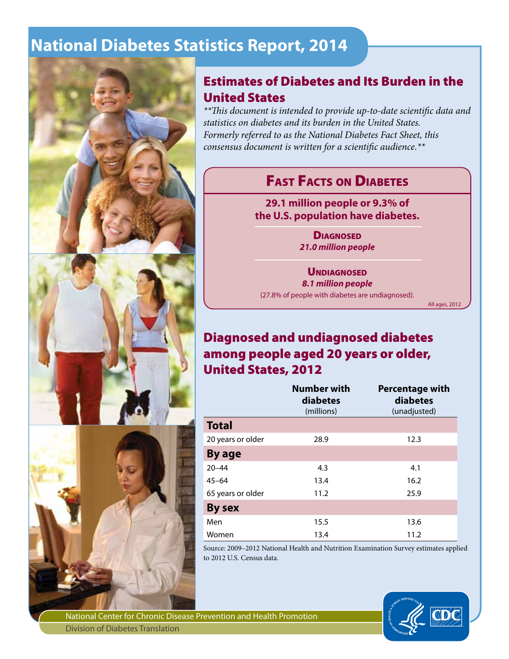# **National Diabetes Statistics Report, 2014**



## Estimates of Diabetes and Its Burden in the United States

*\*\*This document is intended to provide up-to-date scientific data and statistics on diabetes and its burden in the United States. Formerly referred to as the National Diabetes Fact Sheet, this consensus document is written for a scientific audience.\*\**

# **FAST FACTS ON DIABETES**

**29.1 million people or 9.3% of the U.S. population have diabetes.**

> **DIAGNOSED** *21.0 million people*

#### **UNDIAGNOSED**

*8.1 million people* 

(27.8% of people with diabetes are undiagnosed).

All ages, 2012

## Diagnosed and undiagnosed diabetes among people aged 20 years or older, United States, 2012

|                   | <b>Number with</b><br>diabetes<br>(millions) | <b>Percentage with</b><br>diabetes<br>(unadjusted) |
|-------------------|----------------------------------------------|----------------------------------------------------|
| <b>Total</b>      |                                              |                                                    |
| 20 years or older | 28.9                                         | 12.3                                               |
| By age            |                                              |                                                    |
| $20 - 44$         | 4.3                                          | 4.1                                                |
| $45 - 64$         | 13.4                                         | 16.2                                               |
| 65 years or older | 11.2                                         | 25.9                                               |
| <b>By sex</b>     |                                              |                                                    |
| Men               | 15.5                                         | 13.6                                               |
| Women             | 13.4                                         | 11.2                                               |

Source: 2009–2012 National Health and Nutrition Examination Survey estimates applied to 2012 U.S. Census data.



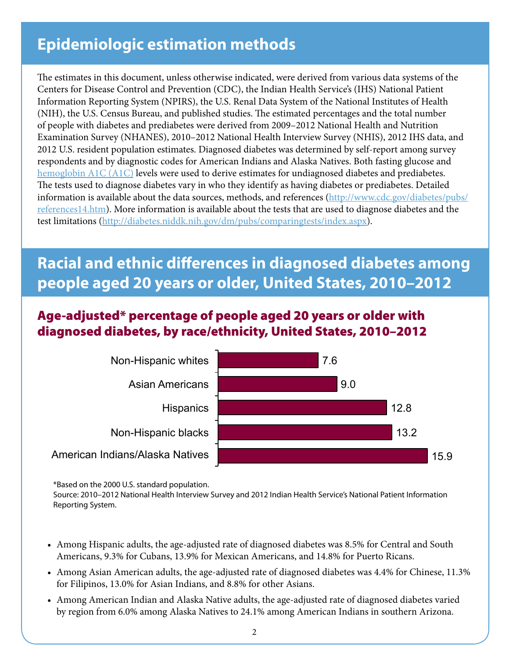# **Epidemiologic estimation methods**

The estimates in this document, unless otherwise indicated, were derived from various data systems of the Centers for Disease Control and Prevention (CDC), the Indian Health Service's (IHS) National Patient Information Reporting System (NPIRS), the U.S. Renal Data System of the National Institutes of Health (NIH), the U.S. Census Bureau, and published studies. The estimated percentages and the total number of people with diabetes and prediabetes were derived from 2009–2012 National Health and Nutrition Examination Survey (NHANES), 2010–2012 National Health Interview Survey (NHIS), 2012 IHS data, and 2012 U.S. resident population estimates. Diagnosed diabetes was determined by self-report among survey respondents and by diagnostic codes for American Indians and Alaska Natives. Both fasting glucose and [hemoglobin A1C \(A1C\)](http://diabetes.niddk.nih.gov/dm/pubs/A1CTest/index.aspx) levels were used to derive estimates for undiagnosed diabetes and prediabetes. The tests used to diagnose diabetes vary in who they identify as having diabetes or prediabetes. Detailed information is available about the data sources, methods, and references (http://www.cdc.gov/diabetes/pubs/ references14.htm). More information is available about the tests that are used to diagnose diabetes and the test limitations (http://diabetes.niddk.nih.gov/dm/pubs/comparingtests/index.aspx).

# **Racial and ethnic differences in diagnosed diabetes among people aged 20 years or older, United States, 2010–2012**

## Age-adjusted\* percentage of people aged 20 years or older with diagnosed diabetes, by race/ethnicity, United States, 2010–2012



\*Based on the 2000 U.S. standard population.

Source: 2010–2012 National Health Interview Survey and 2012 Indian Health Service's National Patient Information Reporting System.

- • Among Hispanic adults, the age-adjusted rate of diagnosed diabetes was 8.5% for Central and South Americans, 9.3% for Cubans, 13.9% for Mexican Americans, and 14.8% for Puerto Ricans.
- Among Asian American adults, the age-adjusted rate of diagnosed diabetes was 4.4% for Chinese, 11.3% for Filipinos, 13.0% for Asian Indians, and 8.8% for other Asians.
- Among American Indian and Alaska Native adults, the age-adjusted rate of diagnosed diabetes varied by region from 6.0% among Alaska Natives to 24.1% among American Indians in southern Arizona.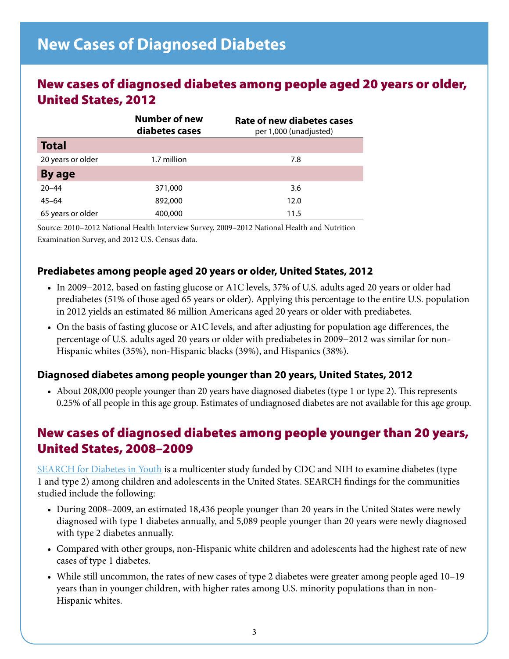## New cases of diagnosed diabetes among people aged 20 years or older, United States, 2012

|                   | <b>Number of new</b><br>diabetes cases | Rate of new diabetes cases<br>per 1,000 (unadjusted) |  |
|-------------------|----------------------------------------|------------------------------------------------------|--|
| <b>Total</b>      |                                        |                                                      |  |
| 20 years or older | 1.7 million                            | 7.8                                                  |  |
| By age            |                                        |                                                      |  |
| $20 - 44$         | 371,000                                | 3.6                                                  |  |
| $45 - 64$         | 892,000                                | 12.0                                                 |  |
| 65 years or older | 400,000                                | 11.5                                                 |  |

Source: 2010–2012 National Health Interview Survey, 2009–2012 National Health and Nutrition Examination Survey, and 2012 U.S. Census data.

### **Prediabetes among people aged 20 years or older, United States, 2012**

- • In 2009−2012, based on fasting glucose or A1C levels, 37% of U.S. adults aged 20 years or older had prediabetes (51% of those aged 65 years or older). Applying this percentage to the entire U.S. population in 2012 yields an estimated 86 million Americans aged 20 years or older with prediabetes.
- • On the basis of fasting glucose or A1C levels, and after adjusting for population age differences, the percentage of U.S. adults aged 20 years or older with prediabetes in 2009−2012 was similar for non-Hispanic whites (35%), non-Hispanic blacks (39%), and Hispanics (38%).

#### **Diagnosed diabetes among people younger than 20 years, United States, 2012**

• About 208,000 people younger than 20 years have diagnosed diabetes (type 1 or type 2). This represents 0.25% of all people in this age group. Estimates of undiagnosed diabetes are not available for this age group.

## New cases of diagnosed diabetes among people younger than 20 years, United States, 2008–2009

[SEARCH for Diabetes in Youth](http://www.searchfordiabetes.org) is a multicenter study funded by CDC and NIH to examine diabetes (type 1 and type 2) among children and adolescents in the United States. SEARCH findings for the communities studied include the following:

- • During 2008–2009, an estimated 18,436 people younger than 20 years in the United States were newly diagnosed with type 1 diabetes annually, and 5,089 people younger than 20 years were newly diagnosed with type 2 diabetes annually.
- • Compared with other groups, non-Hispanic white children and adolescents had the highest rate of new cases of type 1 diabetes.
- While still uncommon, the rates of new cases of type 2 diabetes were greater among people aged 10–19 years than in younger children, with higher rates among U.S. minority populations than in non-Hispanic whites.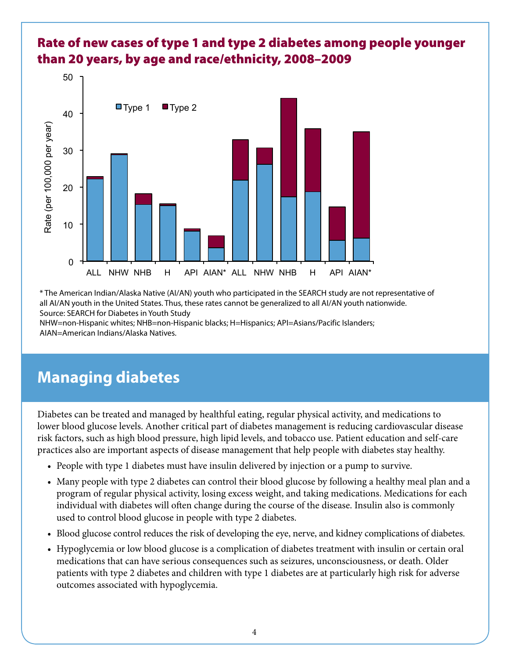

## Rate of new cases of type 1 and type 2 diabetes among people younger than 20 years, by age and race/ethnicity, 2008–2009

\* The American Indian/Alaska Native (AI/AN) youth who participated in the SEARCH study are not representative of all AI/AN youth in the United States. Thus, these rates cannot be generalized to all AI/AN youth nationwide. Source: SEARCH for Diabetes in Youth Study

NHW=non-Hispanic whites; NHB=non-Hispanic blacks; H=Hispanics; API=Asians/Pacific Islanders; AIAN=American Indians/Alaska Natives.

# **Managing diabetes**

Diabetes can be treated and managed by healthful eating, regular physical activity, and medications to lower blood glucose levels. Another critical part of diabetes management is reducing cardiovascular disease risk factors, such as high blood pressure, high lipid levels, and tobacco use. Patient education and self-care practices also are important aspects of disease management that help people with diabetes stay healthy.

- People with type 1 diabetes must have insulin delivered by injection or a pump to survive.
- Many people with type 2 diabetes can control their blood glucose by following a healthy meal plan and a program of regular physical activity, losing excess weight, and taking medications. Medications for each individual with diabetes will often change during the course of the disease. Insulin also is commonly used to control blood glucose in people with type 2 diabetes.
- • Blood glucose control reduces the risk of developing the eye, nerve, and kidney complications of diabetes.
- Hypoglycemia or low blood glucose is a complication of diabetes treatment with insulin or certain oral medications that can have serious consequences such as seizures, unconsciousness, or death. Older patients with type 2 diabetes and children with type 1 diabetes are at particularly high risk for adverse outcomes associated with hypoglycemia.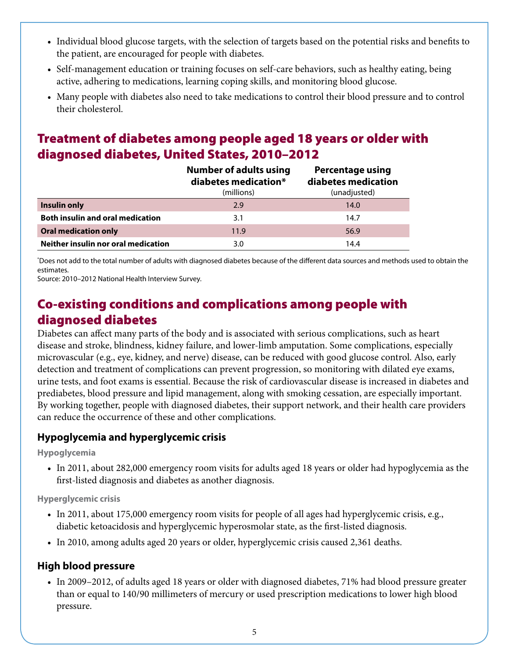- • Individual blood glucose targets, with the selection of targets based on the potential risks and benefits to the patient, are encouraged for people with diabetes.
- Self-management education or training focuses on self-care behaviors, such as healthy eating, being active, adhering to medications, learning coping skills, and monitoring blood glucose.
- • Many people with diabetes also need to take medications to control their blood pressure and to control their cholesterol.

# Treatment of diabetes among people aged 18 years or older with diagnosed diabetes, United States, 2010–2012

|                                         | <b>Number of adults using</b><br>diabetes medication*<br>(millions) | <b>Percentage using</b><br>diabetes medication<br>(unadjusted) |
|-----------------------------------------|---------------------------------------------------------------------|----------------------------------------------------------------|
| Insulin only                            | 2.9                                                                 | 14.0                                                           |
| <b>Both insulin and oral medication</b> | 3.1                                                                 | 14.7                                                           |
| <b>Oral medication only</b>             | 11.9                                                                | 56.9                                                           |
| Neither insulin nor oral medication     | 3.0                                                                 | 14.4                                                           |

\* Does not add to the total number of adults with diagnosed diabetes because of the different data sources and methods used to obtain the estimates.

Source: 2010–2012 National Health Interview Survey.

## Co-existing conditions and complications among people with diagnosed diabetes

Diabetes can affect many parts of the body and is associated with serious complications, such as heart disease and stroke, blindness, kidney failure, and lower-limb amputation. Some complications, especially microvascular (e.g., eye, kidney, and nerve) disease, can be reduced with good glucose control. Also, early detection and treatment of complications can prevent progression, so monitoring with dilated eye exams, urine tests, and foot exams is essential. Because the risk of cardiovascular disease is increased in diabetes and prediabetes, blood pressure and lipid management, along with smoking cessation, are especially important. By working together, people with diagnosed diabetes, their support network, and their health care providers can reduce the occurrence of these and other complications.

#### **Hypoglycemia and hyperglycemic crisis**

**Hypoglycemia**

• In 2011, about 282,000 emergency room visits for adults aged 18 years or older had hypoglycemia as the first-listed diagnosis and diabetes as another diagnosis.

**Hyperglycemic crisis**

- In 2011, about 175,000 emergency room visits for people of all ages had hyperglycemic crisis, e.g., diabetic ketoacidosis and hyperglycemic hyperosmolar state, as the first-listed diagnosis.
- • In 2010, among adults aged 20 years or older, hyperglycemic crisis caused 2,361 deaths.

### **High blood pressure**

• In 2009–2012, of adults aged 18 years or older with diagnosed diabetes, 71% had blood pressure greater than or equal to 140/90 millimeters of mercury or used prescription medications to lower high blood pressure.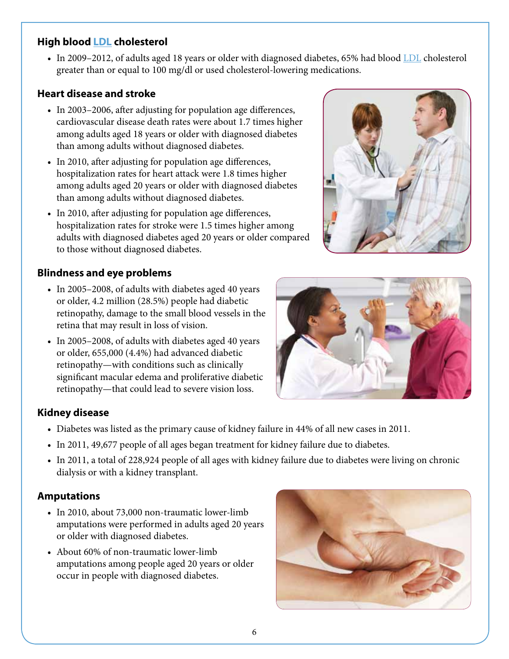## **High blood [LDL](http://win.niddk.nih.gov/publications/AthruL.htm#ldl) cholesterol**

• In 2009–2012, of adults aged 18 years or older with diagnosed diabetes, 65% had blood [LDL](http://win.niddk.nih.gov/publications/AthruL.htm#ldl) cholesterol greater than or equal to 100 mg/dl or used cholesterol-lowering medications.

## **Heart disease and stroke**

- In 2003–2006, after adjusting for population age differences, cardiovascular disease death rates were about 1.7 times higher among adults aged 18 years or older with diagnosed diabetes than among adults without diagnosed diabetes.
- In 2010, after adjusting for population age differences, hospitalization rates for heart attack were 1.8 times higher among adults aged 20 years or older with diagnosed diabetes than among adults without diagnosed diabetes.
- In 2010, after adjusting for population age differences, hospitalization rates for stroke were 1.5 times higher among adults with diagnosed diabetes aged 20 years or older compared to those without diagnosed diabetes.

## **Blindness and eye problems**

- In 2005-2008, of adults with diabetes aged 40 years or older, 4.2 million (28.5%) people had diabetic retinopathy, damage to the small blood vessels in the retina that may result in loss of vision.
- In 2005–2008, of adults with diabetes aged 40 years or older, 655,000 (4.4%) had advanced diabetic retinopathy—with conditions such as clinically significant macular edema and proliferative diabetic retinopathy—that could lead to severe vision loss.



## **Kidney disease**

- • Diabetes was listed as the primary cause of kidney failure in 44% of all new cases in 2011.
- In 2011, 49,677 people of all ages began treatment for kidney failure due to diabetes.
- • In 2011, a total of 228,924 people of all ages with kidney failure due to diabetes were living on chronic dialysis or with a kidney transplant.

## **Amputations**

- In 2010, about 73,000 non-traumatic lower-limb amputations were performed in adults aged 20 years or older with diagnosed diabetes.
- About 60% of non-traumatic lower-limb amputations among people aged 20 years or older occur in people with diagnosed diabetes.



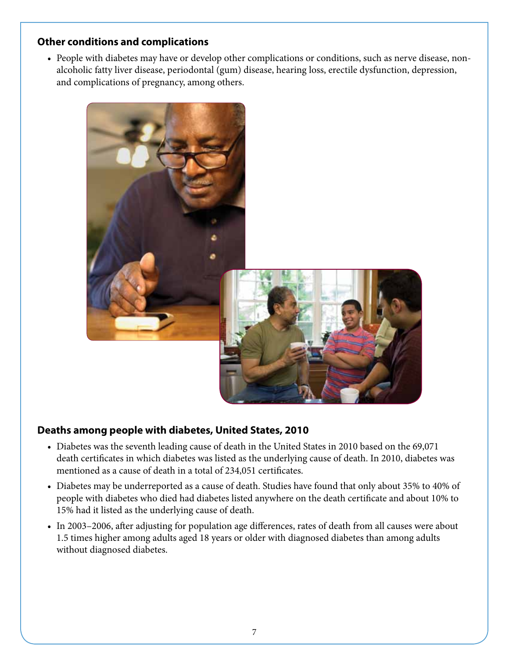#### **Other conditions and complications**

• People with diabetes may have or develop other complications or conditions, such as nerve disease, nonalcoholic fatty liver disease, periodontal (gum) disease, hearing loss, erectile dysfunction, depression, and complications of pregnancy, among others.



#### **Deaths among people with diabetes, United States, 2010**

- Diabetes was the seventh leading cause of death in the United States in 2010 based on the 69,071 death certificates in which diabetes was listed as the underlying cause of death. In 2010, diabetes was mentioned as a cause of death in a total of 234,051 certificates.
- Diabetes may be underreported as a cause of death. Studies have found that only about 35% to 40% of people with diabetes who died had diabetes listed anywhere on the death certificate and about 10% to 15% had it listed as the underlying cause of death.
- In 2003–2006, after adjusting for population age differences, rates of death from all causes were about 1.5 times higher among adults aged 18 years or older with diagnosed diabetes than among adults without diagnosed diabetes.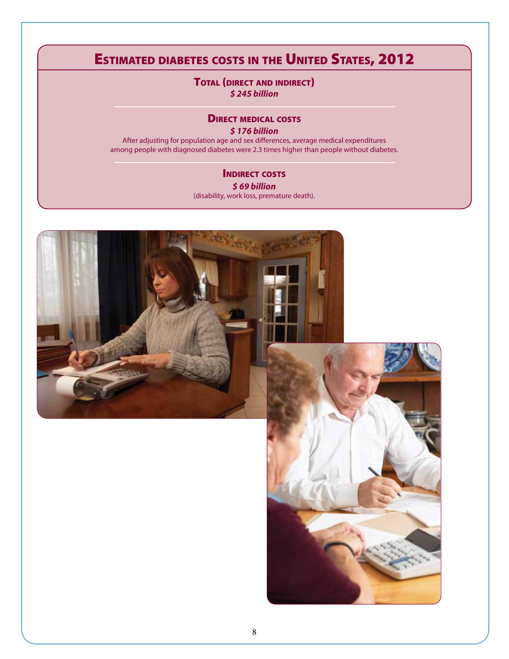# Estimated diabetes costs in the United States, 2012

TOTAL (DIRECT AND INDIRECT) *\$ 245 billion*

#### **DIRECT MEDICAL COSTS**

*\$ 176 billion*

After adjusting for population age and sex differences, average medical expenditures among people with diagnosed diabetes were 2.3 times higher than people without diabetes.

#### **INDIRECT COSTS** *\$ 69 billion* (disability, work loss, premature death).

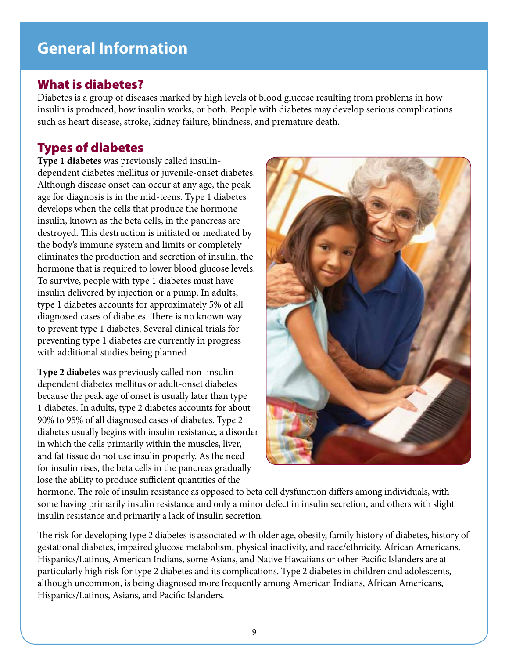# **General Information**

## What is diabetes?

Diabetes is a group of diseases marked by high levels of blood glucose resulting from problems in how insulin is produced, how insulin works, or both. People with diabetes may develop serious complications such as heart disease, stroke, kidney failure, blindness, and premature death.

## Types of diabetes

**Type 1 diabetes** was previously called insulindependent diabetes mellitus or juvenile-onset diabetes. Although disease onset can occur at any age, the peak age for diagnosis is in the mid-teens. Type 1 diabetes develops when the cells that produce the hormone insulin, known as the beta cells, in the pancreas are destroyed. This destruction is initiated or mediated by the body's immune system and limits or completely eliminates the production and secretion of insulin, the hormone that is required to lower blood glucose levels. To survive, people with type 1 diabetes must have insulin delivered by injection or a pump. In adults, type 1 diabetes accounts for approximately 5% of all diagnosed cases of diabetes. There is no known way to prevent type 1 diabetes. Several clinical trials for preventing type 1 diabetes are currently in progress with additional studies being planned.

**Type 2 diabetes** was previously called non–insulindependent diabetes mellitus or adult-onset diabetes because the peak age of onset is usually later than type 1 diabetes. In adults, type 2 diabetes accounts for about 90% to 95% of all diagnosed cases of diabetes. Type 2 diabetes usually begins with insulin resistance, a disorder in which the cells primarily within the muscles, liver, and fat tissue do not use insulin properly. As the need for insulin rises, the beta cells in the pancreas gradually lose the ability to produce sufficient quantities of the



hormone. The role of insulin resistance as opposed to beta cell dysfunction differs among individuals, with some having primarily insulin resistance and only a minor defect in insulin secretion, and others with slight insulin resistance and primarily a lack of insulin secretion.

The risk for developing type 2 diabetes is associated with older age, obesity, family history of diabetes, history of gestational diabetes, impaired glucose metabolism, physical inactivity, and race/ethnicity. African Americans, Hispanics/Latinos, American Indians, some Asians, and Native Hawaiians or other Pacific Islanders are at particularly high risk for type 2 diabetes and its complications. Type 2 diabetes in children and adolescents, although uncommon, is being diagnosed more frequently among American Indians, African Americans, Hispanics/Latinos, Asians, and Pacific Islanders.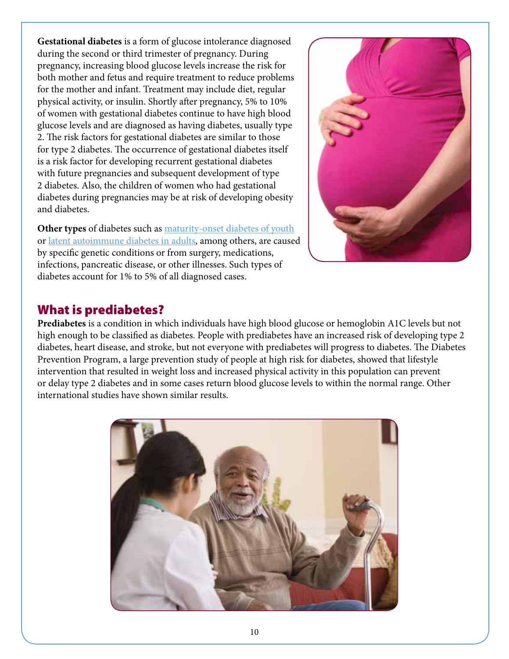**Gestational diabetes** is a form of glucose intolerance diagnosed during the second or third trimester of pregnancy. During pregnancy, increasing blood glucose levels increase the risk for both mother and fetus and require treatment to reduce problems for the mother and infant. Treatment may include diet, regular physical activity, or insulin. Shortly after pregnancy, 5% to 10% of women with gestational diabetes continue to have high blood glucose levels and are diagnosed as having diabetes, usually type 2. The risk factors for gestational diabetes are similar to those for type 2 diabetes. The occurrence of gestational diabetes itself is a risk factor for developing recurrent gestational diabetes with future pregnancies and subsequent development of type 2 diabetes. Also, the children of women who had gestational diabetes during pregnancies may be at risk of developing obesity and diabetes.

**Other types** of diabetes such as [maturity-onset diabetes of youth](http://www.diabetes.niddk.nih.gov/dm/pubs/mody/) or latent autoimmune diabetes in adults, among others, are caused by specific genetic conditions or from surgery, medications, infections, pancreatic disease, or other illnesses. Such types of diabetes account for 1% to 5% of all diagnosed cases.



### What is prediabetes?

**Prediabetes** is a condition in which individuals have high blood glucose or hemoglobin A1C levels but not high enough to be classified as diabetes. People with prediabetes have an increased risk of developing type 2 diabetes, heart disease, and stroke, but not everyone with prediabetes will progress to diabetes. The Diabetes Prevention Program, a large prevention study of people at high risk for diabetes, showed that lifestyle intervention that resulted in weight loss and increased physical activity in this population can prevent or delay type 2 diabetes and in some cases return blood glucose levels to within the normal range. Other international studies have shown similar results.

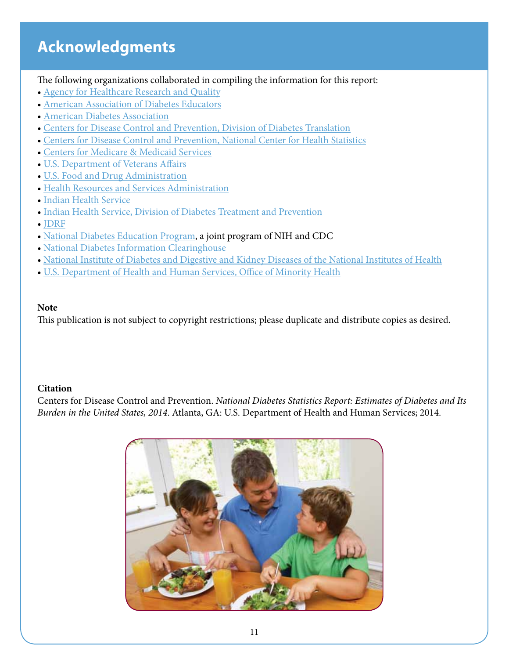# **Acknowledgments**

The following organizations collaborated in compiling the information for this report:

- [Agency for Healthcare Research and Quality](http://www.ahrq.gov/browse/diabetes.htm)
- [American Association of Diabetes Educators](http://www.diabeteseducator.org)
- [American Diabetes Association](http://www.diabetes.org)
- [Centers for Disease Control and Prevention, Division of Diabetes Translation](http://www.cdc.gov/diabetes/)
- [Centers for Disease Control and Prevention, National Center for Health Statistics](http://www.cdc.gov/nchs/)
- [Centers for Medicare & Medicaid Services](http://cms.hhs.gov)
- [U.S. Department of Veterans Affairs](http://www.healthquality.va.gov)
- [U.S. Food and Drug Administration](http://www.fda.gov)
- [Health Resources and Services Administration](http://www.hrsa.gov)
- [Indian Health Service](http://www.ihs.gov/)
- [Indian Health Service, Division of Diabetes Treatment and Prevention](http://www.diabetes.ihs.gov/)
- [JDRF](http://www.jdrf.org)
- [National Diabetes Education Program,](http://www.yourdiabetesinfo.org) a joint program of NIH and CDC
- [National Diabetes Information Clearinghouse](http://diabetes.niddk.nih.gov)
- [National Institute of Diabetes and Digestive and Kidney Diseases of the National Institutes of Health](http://www.niddk.nih.gov)
- [U.S. Department of Health and Human Services, Office of Minority Health](http://www.omhrc.gov)

### **Note**

This publication is not subject to copyright restrictions; please duplicate and distribute copies as desired.

#### **Citation**

Centers for Disease Control and Prevention. *National Diabetes Statistics Report: Estimates of Diabetes and Its Burden in the United States, 2014*. Atlanta, GA: U.S. Department of Health and Human Services; 2014.